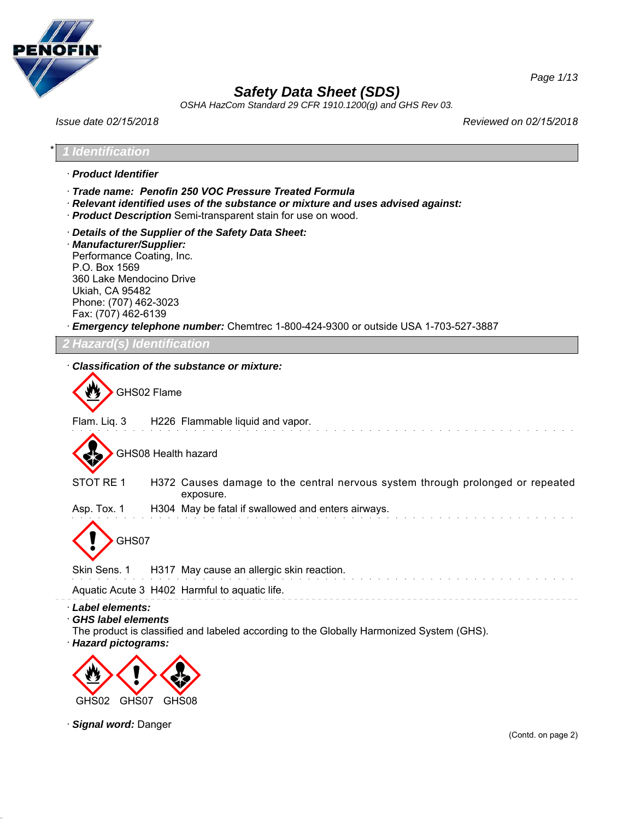

*OSHA HazCom Standard 29 CFR 1910.1200(g) and GHS Rev 03.*

*Issue date 02/15/2018 Reviewed on 02/15/2018*

*Page 1/13*

\* *1 Identification* · *Product Identifier* · *Trade name: Penofin 250 VOC Pressure Treated Formula* · *Relevant identified uses of the substance or mixture and uses advised against:* · *Product Description* Semi-transparent stain for use on wood. · *Details of the Supplier of the Safety Data Sheet:* · *Manufacturer/Supplier:* Performance Coating, Inc. P.O. Box 1569 360 Lake Mendocino Drive Ukiah, CA 95482 Phone: (707) 462-3023 Fax: (707) 462-6139 · *Emergency telephone number:* Chemtrec 1-800-424-9300 or outside USA 1-703-527-3887 *2 Hazard(s) Identification* · *Classification of the substance or mixture:* GHS02 Flame Flam. Liq. 3 H226 Flammable liquid and vapor. GHS08 Health hazard STOT RE 1 H372 Causes damage to the central nervous system through prolonged or repeated exposure. Asp. Tox. 1 H304 May be fatal if swallowed and enters airways. GHS07 Skin Sens. 1 H317 May cause an allergic skin reaction. Aquatic Acute 3 H402 Harmful to aquatic life. · *Label elements:* · *GHS label elements* The product is classified and labeled according to the Globally Harmonized System (GHS). · *Hazard pictograms:* < GHS02 GHS07  $\langle \cdot \rangle$  $\Leftrightarrow$ GHS08

· *Signal word:* Danger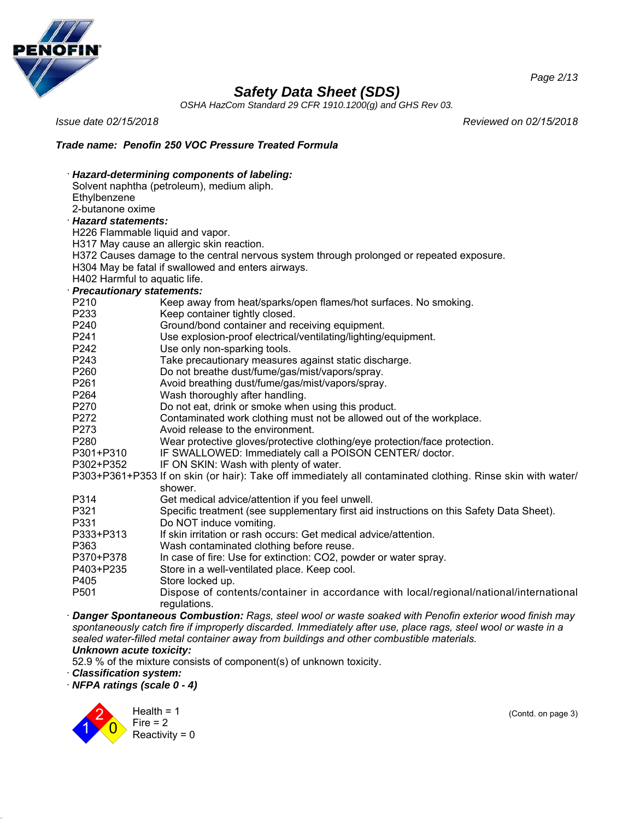

*OSHA HazCom Standard 29 CFR 1910.1200(g) and GHS Rev 03.*

*Issue date 02/15/2018 Reviewed on 02/15/2018*

*Page 2/13*

## *Trade name: Penofin 250 VOC Pressure Treated Formula*

|                                  | Hazard-determining components of labeling:                                                                                                                                                                             |  |  |  |
|----------------------------------|------------------------------------------------------------------------------------------------------------------------------------------------------------------------------------------------------------------------|--|--|--|
|                                  | Solvent naphtha (petroleum), medium aliph.                                                                                                                                                                             |  |  |  |
| Ethylbenzene                     |                                                                                                                                                                                                                        |  |  |  |
|                                  | 2-butanone oxime                                                                                                                                                                                                       |  |  |  |
| <b>Hazard statements:</b>        |                                                                                                                                                                                                                        |  |  |  |
| H226 Flammable liquid and vapor. |                                                                                                                                                                                                                        |  |  |  |
|                                  | H317 May cause an allergic skin reaction.                                                                                                                                                                              |  |  |  |
|                                  | H372 Causes damage to the central nervous system through prolonged or repeated exposure.                                                                                                                               |  |  |  |
|                                  | H304 May be fatal if swallowed and enters airways.                                                                                                                                                                     |  |  |  |
| H402 Harmful to aquatic life.    |                                                                                                                                                                                                                        |  |  |  |
| <b>Precautionary statements:</b> |                                                                                                                                                                                                                        |  |  |  |
| P210                             | Keep away from heat/sparks/open flames/hot surfaces. No smoking.                                                                                                                                                       |  |  |  |
| P233                             | Keep container tightly closed.                                                                                                                                                                                         |  |  |  |
| P240                             | Ground/bond container and receiving equipment.                                                                                                                                                                         |  |  |  |
| P241                             | Use explosion-proof electrical/ventilating/lighting/equipment.                                                                                                                                                         |  |  |  |
| P242                             | Use only non-sparking tools.                                                                                                                                                                                           |  |  |  |
| P243                             | Take precautionary measures against static discharge.                                                                                                                                                                  |  |  |  |
| P <sub>260</sub>                 | Do not breathe dust/fume/gas/mist/vapors/spray.                                                                                                                                                                        |  |  |  |
| P261                             | Avoid breathing dust/fume/gas/mist/vapors/spray.                                                                                                                                                                       |  |  |  |
| P264                             | Wash thoroughly after handling.                                                                                                                                                                                        |  |  |  |
| P270                             | Do not eat, drink or smoke when using this product.                                                                                                                                                                    |  |  |  |
| P272                             | Contaminated work clothing must not be allowed out of the workplace.                                                                                                                                                   |  |  |  |
| P273                             | Avoid release to the environment.                                                                                                                                                                                      |  |  |  |
| P280                             | Wear protective gloves/protective clothing/eye protection/face protection.                                                                                                                                             |  |  |  |
| P301+P310                        | IF SWALLOWED: Immediately call a POISON CENTER/ doctor.                                                                                                                                                                |  |  |  |
| P302+P352                        | IF ON SKIN: Wash with plenty of water.                                                                                                                                                                                 |  |  |  |
|                                  | P303+P361+P353 If on skin (or hair): Take off immediately all contaminated clothing. Rinse skin with water/<br>shower.                                                                                                 |  |  |  |
| P314                             | Get medical advice/attention if you feel unwell.                                                                                                                                                                       |  |  |  |
| P321                             | Specific treatment (see supplementary first aid instructions on this Safety Data Sheet).                                                                                                                               |  |  |  |
| P331                             | Do NOT induce vomiting.                                                                                                                                                                                                |  |  |  |
| P333+P313                        | If skin irritation or rash occurs: Get medical advice/attention.                                                                                                                                                       |  |  |  |
| P363                             | Wash contaminated clothing before reuse.                                                                                                                                                                               |  |  |  |
| P370+P378                        | In case of fire: Use for extinction: CO2, powder or water spray.                                                                                                                                                       |  |  |  |
| P403+P235                        | Store in a well-ventilated place. Keep cool.                                                                                                                                                                           |  |  |  |
| P405                             | Store locked up.                                                                                                                                                                                                       |  |  |  |
| P501                             | Dispose of contents/container in accordance with local/regional/national/international<br>regulations.                                                                                                                 |  |  |  |
|                                  | Danger Spontaneous Combustion: Rags, steel wool or waste soaked with Penofin exterior wood finish may<br>ish catalogue if incompanies disponded becaused distributed as a service and the class of the contract in the |  |  |  |

*spontaneously catch fire if improperly discarded. Immediately after use, place rags, steel wool or waste in a sealed water-filled metal container away from buildings and other combustible materials. Unknown acute toxicity:*

52.9 % of the mixture consists of component(s) of unknown toxicity.

· *Classification system:*

· *NFPA ratings (scale 0 - 4)*



(Contd. on page 3)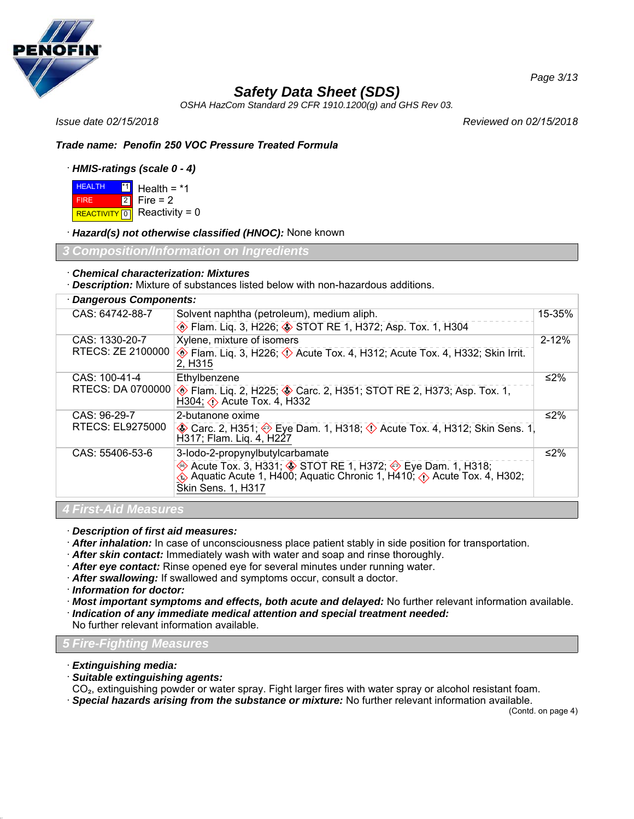

*OSHA HazCom Standard 29 CFR 1910.1200(g) and GHS Rev 03.*

*Issue date 02/15/2018 Reviewed on 02/15/2018*

### *Trade name: Penofin 250 VOC Pressure Treated Formula*

### · *HMIS-ratings (scale 0 - 4)*

**HEALTH**  FIRE REACTIVITY  $\boxed{0}$  Reactivity = 0 <u>\*1</u> Health = \*1 2 Fire = 2

· *Hazard(s) not otherwise classified (HNOC):* None known

*Information on Ingredie* 

### · *Chemical characterization: Mixtures*

· *Description:* Mixture of substances listed below with non-hazardous additions.

## · *Dangerous Components:*

| CAS: 64742-88-7             | Solvent naphtha (petroleum), medium aliph.                                                                                                                                                | 15-35%    |
|-----------------------------|-------------------------------------------------------------------------------------------------------------------------------------------------------------------------------------------|-----------|
|                             | Elam. Liq. 3, H226; STOT RE 1, H372; Asp. Tox. 1, H304                                                                                                                                    |           |
| CAS: 1330-20-7              | Xylene, mixture of isomers                                                                                                                                                                | $2 - 12%$ |
| RTECS: ZE 2100000           | Flam. Liq. 3, H226; $\Diamond$ Acute Tox. 4, H312; Acute Tox. 4, H332; Skin Irrit.<br>2, H <sub>3</sub> 15                                                                                |           |
| CAS: 100-41-4               | Ethylbenzene                                                                                                                                                                              | ≤2%       |
| RTECS: DA 0700000           | Flam. Liq. 2, H225; Starc. 2, H351; STOT RE 2, H373; Asp. Tox. 1,<br>H304; $\diamond$ Acute Tox. 4, H332                                                                                  |           |
| CAS: 96-29-7                | 2-butanone oxime                                                                                                                                                                          | ≤2%       |
| RTECS: EL9275000            | <b>A</b> Carc. 2, H351; �� Eye Dam. 1, H318; <b>①</b> Acute Tox. 4, H312; Skin Sens. 1<br>H317; Flam. Lig. 4, H227                                                                        |           |
| CAS: 55406-53-6             | 3-lodo-2-propynylbutylcarbamate                                                                                                                                                           | ≤2%       |
|                             | Acute Tox. 3, H331; STOT RE 1, H372; Sue Dam. 1, H318;<br>$\hat{\textbf{Q}}$ Aquatic Acute 1, H400; Aquatic Chronic 1, H410; $\hat{\textbf{Q}}$ Acute Tox. 4, H302;<br>Skin Sens. 1, H317 |           |
| <b>4 First-Aid Measures</b> |                                                                                                                                                                                           |           |

· *Description of first aid measures:*

- · *After inhalation:* In case of unconsciousness place patient stably in side position for transportation.
- · *After skin contact:* Immediately wash with water and soap and rinse thoroughly.
- · *After eye contact:* Rinse opened eye for several minutes under running water.
- · *After swallowing:* If swallowed and symptoms occur, consult a doctor.
- · *Information for doctor:*
- · *Most important symptoms and effects, both acute and delayed:* No further relevant information available.
- · *Indication of any immediate medical attention and special treatment needed:*

No further relevant information available.

## *5 Fire-Fighting Measures*

- · *Extinguishing media:*
- · *Suitable extinguishing agents:*

CO₂, extinguishing powder or water spray. Fight larger fires with water spray or alcohol resistant foam. · *Special hazards arising from the substance or mixture:* No further relevant information available.

(Contd. on page 4)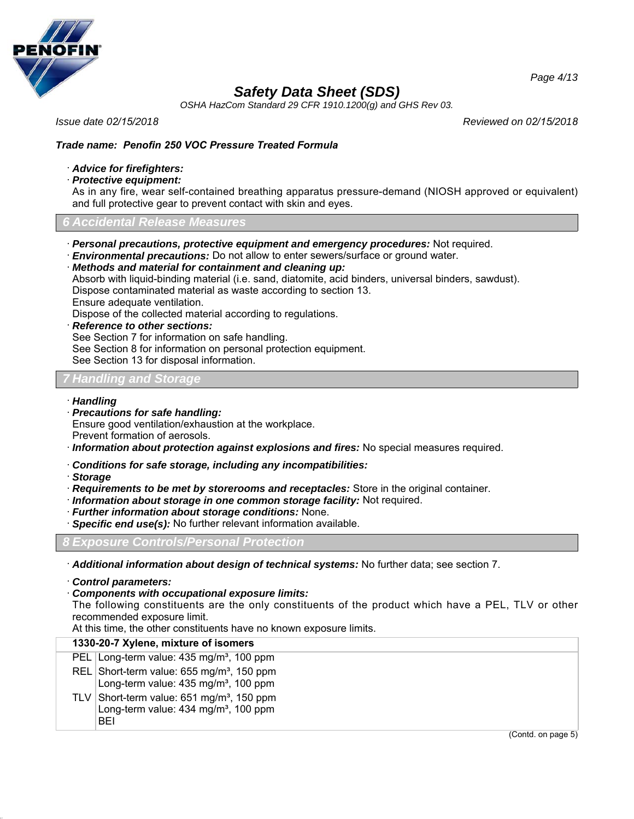

*OSHA HazCom Standard 29 CFR 1910.1200(g) and GHS Rev 03.*

*Issue date 02/15/2018 Reviewed on 02/15/2018*

## *Trade name: Penofin 250 VOC Pressure Treated Formula*

### · *Advice for firefighters:*

· *Protective equipment:*

As in any fire, wear self-contained breathing apparatus pressure-demand (NIOSH approved or equivalent) and full protective gear to prevent contact with skin and eyes.

### *6 Accidental Release Measures*

· *Personal precautions, protective equipment and emergency procedures:* Not required.

· *Environmental precautions:* Do not allow to enter sewers/surface or ground water.

· *Methods and material for containment and cleaning up:*

Absorb with liquid-binding material (i.e. sand, diatomite, acid binders, universal binders, sawdust).

Dispose contaminated material as waste according to section 13.

Ensure adequate ventilation.

Dispose of the collected material according to regulations.

· *Reference to other sections:*

See Section 7 for information on safe handling.

See Section 8 for information on personal protection equipment.

See Section 13 for disposal information.

### *7 Handling and Storage*

### · *Handling*

· *Precautions for safe handling:* Ensure good ventilation/exhaustion at the workplace. Prevent formation of aerosols.

· *Information about protection against explosions and fires:* No special measures required.

- · *Conditions for safe storage, including any incompatibilities:*
- · *Storage*
- · *Requirements to be met by storerooms and receptacles:* Store in the original container.
- · *Information about storage in one common storage facility:* Not required.
- · *Further information about storage conditions:* None.
- · *Specific end use(s):* No further relevant information available.

*8 Exposure Controls/Personal Protection*

· *Additional information about design of technical systems:* No further data; see section 7.

· *Control parameters:*

#### · *Components with occupational exposure limits:*

The following constituents are the only constituents of the product which have a PEL, TLV or other recommended exposure limit.

At this time, the other constituents have no known exposure limits.

### **1330-20-7 Xylene, mixture of isomers**

| PEL Long-term value: 435 mg/m <sup>3</sup> , 100 ppm                                                            |
|-----------------------------------------------------------------------------------------------------------------|
| REL Short-term value: 655 mg/m <sup>3</sup> , 150 ppm<br>Long-term value: 435 mg/m <sup>3</sup> , 100 ppm       |
| TLV Short-term value: $651 \text{ mg/m}^3$ , 150 ppm<br>Long-term value: 434 mg/m <sup>3</sup> , 100 ppm<br>RFI |

(Contd. on page 5)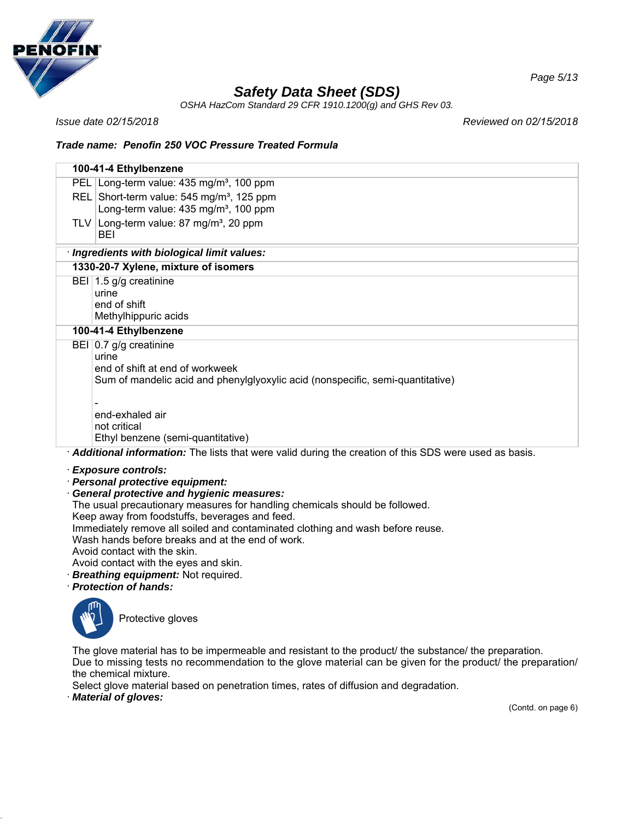

*OSHA HazCom Standard 29 CFR 1910.1200(g) and GHS Rev 03.*

*Issue date 02/15/2018 Reviewed on 02/15/2018*

### *Trade name: Penofin 250 VOC Pressure Treated Formula*

| 100-41-4 Ethylbenzene                                                                                                                                                                                                                         |
|-----------------------------------------------------------------------------------------------------------------------------------------------------------------------------------------------------------------------------------------------|
| PEL Long-term value: 435 mg/m <sup>3</sup> , 100 ppm                                                                                                                                                                                          |
| REL Short-term value: 545 mg/m <sup>3</sup> , 125 ppm<br>Long-term value: 435 mg/m <sup>3</sup> , 100 ppm                                                                                                                                     |
| TLV Long-term value: 87 mg/m <sup>3</sup> , 20 ppm<br>BEI                                                                                                                                                                                     |
| · Ingredients with biological limit values:                                                                                                                                                                                                   |
| 1330-20-7 Xylene, mixture of isomers                                                                                                                                                                                                          |
| BEI 1.5 g/g creatinine<br>urine<br>end of shift<br>Methylhippuric acids                                                                                                                                                                       |
| 100-41-4 Ethylbenzene                                                                                                                                                                                                                         |
| BEI 0.7 g/g creatinine<br>urine<br>end of shift at end of workweek<br>Sum of mandelic acid and phenylglyoxylic acid (nonspecific, semi-quantitative)                                                                                          |
| end-exhaled air                                                                                                                                                                                                                               |
| not critical<br>Ethyl benzene (semi-quantitative)                                                                                                                                                                                             |
| Additional information: The lists that were valid during the creation of this SDS were used as basis.                                                                                                                                         |
| · Exposure controls:<br>· Personal protective equipment:<br><b>General protective and hygienic measures:</b><br>The usual precautionary measures for handling chemicals should be followed.<br>Keep away from foodstuffs, beverages and feed. |

Immediately remove all soiled and contaminated clothing and wash before reuse.

Wash hands before breaks and at the end of work.

Avoid contact with the skin.

- Avoid contact with the eyes and skin.
- · *Breathing equipment:* Not required.
- · *Protection of hands:*



Protective gloves

The glove material has to be impermeable and resistant to the product/ the substance/ the preparation. Due to missing tests no recommendation to the glove material can be given for the product/ the preparation/ the chemical mixture.

Select glove material based on penetration times, rates of diffusion and degradation.

· *Material of gloves:*

(Contd. on page 6)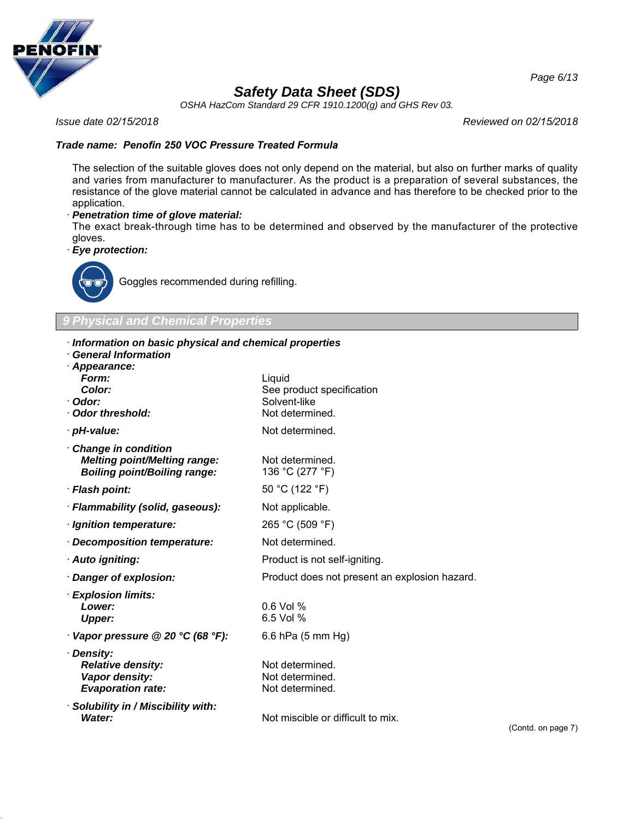

*OSHA HazCom Standard 29 CFR 1910.1200(g) and GHS Rev 03.*

*Issue date 02/15/2018 Reviewed on 02/15/2018*

### *Trade name: Penofin 250 VOC Pressure Treated Formula*

The selection of the suitable gloves does not only depend on the material, but also on further marks of quality and varies from manufacturer to manufacturer. As the product is a preparation of several substances, the resistance of the glove material cannot be calculated in advance and has therefore to be checked prior to the application.

### · *Penetration time of glove material:*

The exact break-through time has to be determined and observed by the manufacturer of the protective gloves.

· *Eye protection:*



Goggles recommended during refilling.

*9 Physical and Chemical Properties*

### · *Information on basic physical and chemical properties*

· *General Information*

| General Information<br>· Appearance:                                                                     |                                                                        |
|----------------------------------------------------------------------------------------------------------|------------------------------------------------------------------------|
| Form:<br><b>Color:</b><br>· Odor:<br>Odor threshold:                                                     | Liquid<br>See product specification<br>Solvent-like<br>Not determined. |
| · pH-value:                                                                                              | Not determined.                                                        |
| <b>Change in condition</b><br><b>Melting point/Melting range:</b><br><b>Boiling point/Boiling range:</b> | Not determined.<br>136 °C (277 °F)                                     |
| · Flash point:                                                                                           | 50 °C (122 °F)                                                         |
| · Flammability (solid, gaseous):                                                                         | Not applicable.                                                        |
| · Ignition temperature:                                                                                  | 265 °C (509 °F)                                                        |
| · Decomposition temperature:                                                                             | Not determined.                                                        |
| · Auto igniting:                                                                                         | Product is not self-igniting.                                          |
| · Danger of explosion:                                                                                   | Product does not present an explosion hazard.                          |
| · Explosion limits:<br>Lower:<br><b>Upper:</b>                                                           | $0.6$ Vol %<br>6.5 Vol %                                               |
| $\cdot$ Vapor pressure @ 20 °C (68 °F):                                                                  | 6.6 hPa (5 mm Hg)                                                      |
| · Density:<br><b>Relative density:</b><br>Vapor density:<br><b>Evaporation rate:</b>                     | Not determined.<br>Not determined.<br>Not determined.                  |
| · Solubility in / Miscibility with:<br>Water:                                                            | Not miscible or difficult to mix.                                      |

(Contd. on page 7)

*Page 6/13*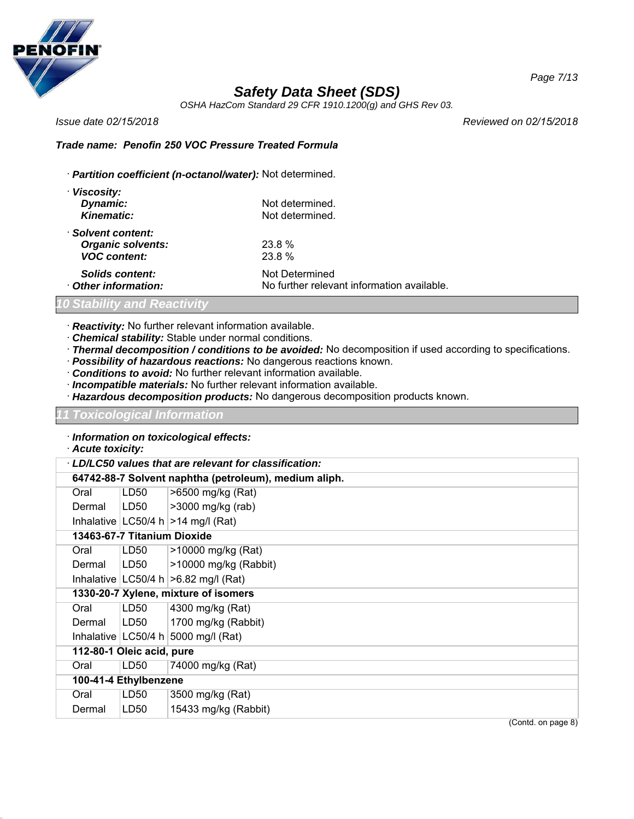

*OSHA HazCom Standard 29 CFR 1910.1200(g) and GHS Rev 03.*

*Issue date 02/15/2018 Reviewed on 02/15/2018*

### *Trade name: Penofin 250 VOC Pressure Treated Formula*

· *Partition coefficient (n-octanol/water):* Not determined.

| · Viscosity:             |                                            |
|--------------------------|--------------------------------------------|
| Dynamic:                 | Not determined.                            |
| <b>Kinematic:</b>        | Not determined.                            |
| · Solvent content:       |                                            |
| <b>Organic solvents:</b> | 23.8%                                      |
| <b>VOC content:</b>      | 23.8 %                                     |
| <b>Solids content:</b>   | Not Determined                             |
| Other information:       | No further relevant information available. |

### *10 Stability and Reactivity*

- · *Reactivity:* No further relevant information available.
- · *Chemical stability:* Stable under normal conditions.
- · *Thermal decomposition / conditions to be avoided:* No decomposition if used according to specifications.
- · *Possibility of hazardous reactions:* No dangerous reactions known.
- · *Conditions to avoid:* No further relevant information available.
- · *Incompatible materials:* No further relevant information available.
- · *Hazardous decomposition products:* No dangerous decomposition products known.

#### *11 Toxicological Information*

- · *Information on toxicological effects:*
- · *Acute toxicity:*

| LD/LC50 values that are relevant for classification: |                  |                                                       |  |
|------------------------------------------------------|------------------|-------------------------------------------------------|--|
|                                                      |                  | 64742-88-7 Solvent naphtha (petroleum), medium aliph. |  |
| Oral                                                 | LD <sub>50</sub> | >6500 mg/kg (Rat)                                     |  |
| Dermal                                               | LD50             | >3000 mg/kg (rab)                                     |  |
|                                                      |                  | Inhalative   LC50/4 h $ >$ 14 mg/l (Rat)              |  |
| 13463-67-7 Titanium Dioxide                          |                  |                                                       |  |
| Oral                                                 | LD50             | >10000 mg/kg (Rat)                                    |  |
| Dermal                                               | LD50             | >10000 mg/kg (Rabbit)                                 |  |
|                                                      |                  | Inhalative $ LG50/4 h  > 6.82 mg/l (Rat)$             |  |
| 1330-20-7 Xylene, mixture of isomers                 |                  |                                                       |  |
| Oral                                                 | LD <sub>50</sub> | 4300 mg/kg (Rat)                                      |  |
| Dermal                                               | LD50             | 1700 mg/kg (Rabbit)                                   |  |
|                                                      |                  | Inhalative $ LC50/4 h 5000 mg/l$ (Rat)                |  |
| 112-80-1 Oleic acid, pure                            |                  |                                                       |  |
| Oral                                                 | LD <sub>50</sub> | 74000 mg/kg (Rat)                                     |  |
| 100-41-4 Ethylbenzene                                |                  |                                                       |  |
| Oral                                                 | LD <sub>50</sub> | 3500 mg/kg (Rat)                                      |  |
| Dermal                                               | LD50             | 15433 mg/kg (Rabbit)                                  |  |
|                                                      |                  | (Contd. on page 8)                                    |  |

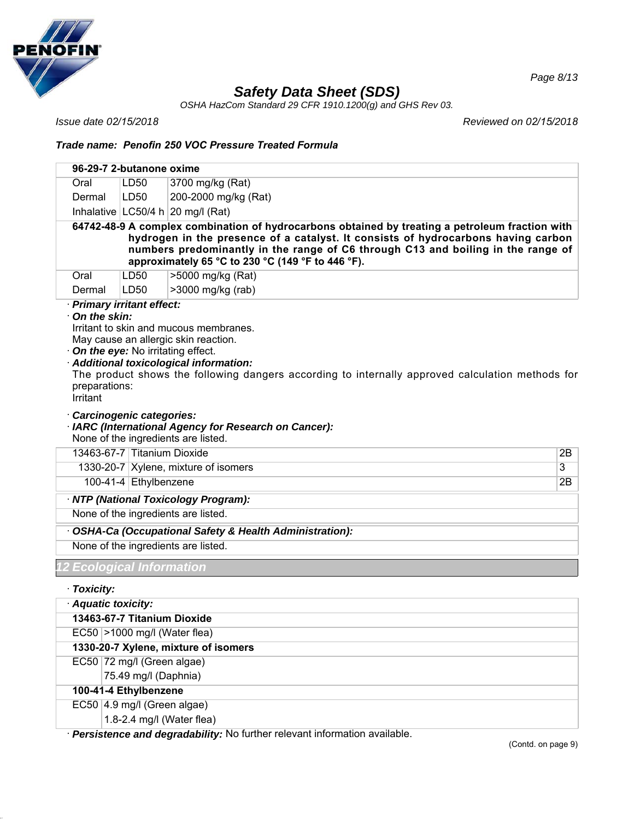

*OSHA HazCom Standard 29 CFR 1910.1200(g) and GHS Rev 03.*

*Issue date 02/15/2018 Reviewed on 02/15/2018*

*Page 8/13*

### *Trade name: Penofin 250 VOC Pressure Treated Formula*

|                                                                                        | 96-29-7 2-butanone oxime                                |                                                                                                                                                                                                                                                                                                                               |    |
|----------------------------------------------------------------------------------------|---------------------------------------------------------|-------------------------------------------------------------------------------------------------------------------------------------------------------------------------------------------------------------------------------------------------------------------------------------------------------------------------------|----|
| Oral                                                                                   | LD50                                                    | 3700 mg/kg (Rat)                                                                                                                                                                                                                                                                                                              |    |
| Dermal                                                                                 | LD50                                                    | 200-2000 mg/kg (Rat)                                                                                                                                                                                                                                                                                                          |    |
|                                                                                        |                                                         | Inhalative $ LG50/4 h 20 mg/l$ (Rat)                                                                                                                                                                                                                                                                                          |    |
|                                                                                        |                                                         | 64742-48-9 A complex combination of hydrocarbons obtained by treating a petroleum fraction with<br>hydrogen in the presence of a catalyst. It consists of hydrocarbons having carbon<br>numbers predominantly in the range of C6 through C13 and boiling in the range of<br>approximately 65 °C to 230 °C (149 °F to 446 °F). |    |
| Oral                                                                                   | LD50                                                    | >5000 mg/kg (Rat)                                                                                                                                                                                                                                                                                                             |    |
| Dermal<br>· Primary irritant effect:                                                   | LD50                                                    | >3000 mg/kg (rab)                                                                                                                                                                                                                                                                                                             |    |
| On the skin:<br>$\cdot$ On the eye: No irritating effect.<br>preparations:<br>Irritant |                                                         | Irritant to skin and mucous membranes.<br>May cause an allergic skin reaction.<br>Additional toxicological information:<br>The product shows the following dangers according to internally approved calculation methods for                                                                                                   |    |
|                                                                                        | Carcinogenic categories:<br>13463-67-7 Titanium Dioxide | · IARC (International Agency for Research on Cancer):<br>None of the ingredients are listed.                                                                                                                                                                                                                                  | 2B |
|                                                                                        |                                                         | 1330-20-7 Xylene, mixture of isomers                                                                                                                                                                                                                                                                                          | 3  |
|                                                                                        | 100-41-4 Ethylbenzene                                   |                                                                                                                                                                                                                                                                                                                               | 2B |
|                                                                                        |                                                         |                                                                                                                                                                                                                                                                                                                               |    |
|                                                                                        |                                                         | · NTP (National Toxicology Program):<br>None of the ingredients are listed.                                                                                                                                                                                                                                                   |    |
|                                                                                        |                                                         |                                                                                                                                                                                                                                                                                                                               |    |
|                                                                                        |                                                         | OSHA-Ca (Occupational Safety & Health Administration):                                                                                                                                                                                                                                                                        |    |
|                                                                                        |                                                         | None of the ingredients are listed.                                                                                                                                                                                                                                                                                           |    |
| <b>2 Ecological Information</b>                                                        |                                                         |                                                                                                                                                                                                                                                                                                                               |    |
| · Toxicity:                                                                            |                                                         |                                                                                                                                                                                                                                                                                                                               |    |
| · Aquatic toxicity:                                                                    |                                                         |                                                                                                                                                                                                                                                                                                                               |    |
|                                                                                        | 13463-67-7 Titanium Dioxide                             |                                                                                                                                                                                                                                                                                                                               |    |
|                                                                                        | $EC50$ >1000 mg/l (Water flea)                          |                                                                                                                                                                                                                                                                                                                               |    |
|                                                                                        |                                                         | 1330-20-7 Xylene, mixture of isomers                                                                                                                                                                                                                                                                                          |    |
|                                                                                        | EC50 72 mg/l (Green algae)                              |                                                                                                                                                                                                                                                                                                                               |    |
|                                                                                        | 75.49 mg/l (Daphnia)                                    |                                                                                                                                                                                                                                                                                                                               |    |
|                                                                                        | 100-41-4 Ethylbenzene                                   |                                                                                                                                                                                                                                                                                                                               |    |
|                                                                                        | EC50 4.9 mg/l (Green algae)                             |                                                                                                                                                                                                                                                                                                                               |    |
|                                                                                        |                                                         | 1.8-2.4 mg/l (Water flea)                                                                                                                                                                                                                                                                                                     |    |

· *Persistence and degradability:* No further relevant information available.

(Contd. on page 9)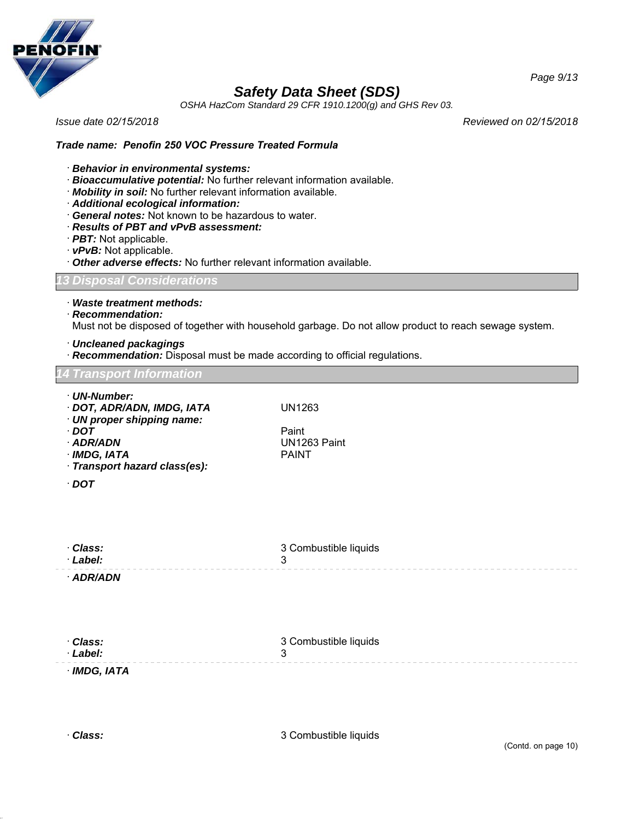

*OSHA HazCom Standard 29 CFR 1910.1200(g) and GHS Rev 03.*

*Issue date 02/15/2018 Reviewed on 02/15/2018*

*Page 9/13*

### *Trade name: Penofin 250 VOC Pressure Treated Formula*

- · *Behavior in environmental systems:*
- · *Bioaccumulative potential:* No further relevant information available.
- · *Mobility in soil:* No further relevant information available.
- · *Additional ecological information:*
- · *General notes:* Not known to be hazardous to water.
- · *Results of PBT and vPvB assessment:*
- · *PBT:* Not applicable.
- · *vPvB:* Not applicable.
- · *Other adverse effects:* No further relevant information available.

*13 Disposal Considerations*

· *Waste treatment methods:*

· *Recommendation:*

Must not be disposed of together with household garbage. Do not allow product to reach sewage system.

- · *Uncleaned packagings*
- · *Recommendation:* Disposal must be made according to official regulations.

#### *14 Transport Information*

· *UN-Number:* · *DOT, ADR/ADN, IMDG, IATA* UN1263 · *UN proper shipping name:* · *DOT* Paint UN1263 Paint<br>PAINT  $\cdot$  *IMDG, IATA* · *Transport hazard class(es):* · *DOT* · *Class:* · *Label:* 3 Combustible liquids 3 · *ADR/ADN*

| · Class:   | 3 Combustible liquids |
|------------|-----------------------|
| · Label:   |                       |
| IMDG, IATA |                       |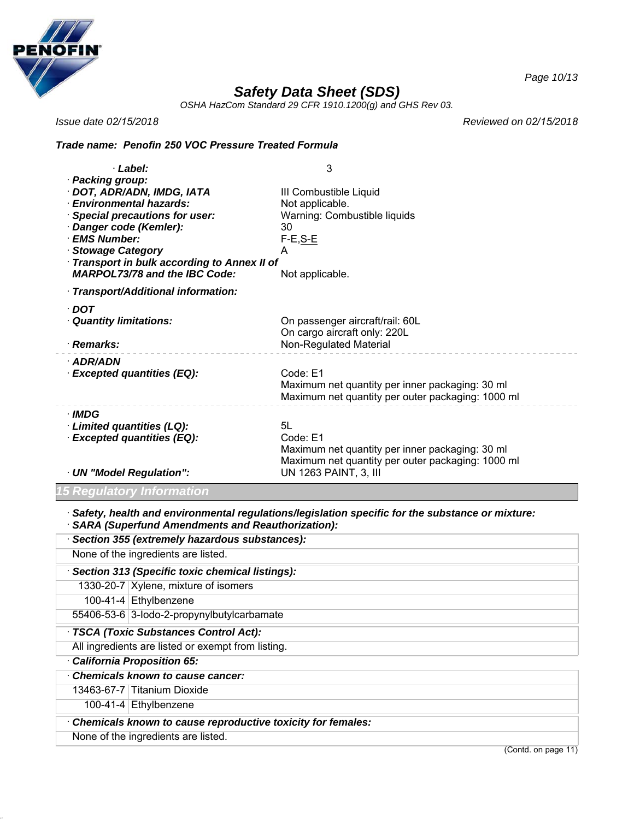

*OSHA HazCom Standard 29 CFR 1910.1200(g) and GHS Rev 03.*

*Issue date 02/15/2018*

*Reviewed on 02/15/2018*

### *Trade name: Penofin 250 VOC Pressure Treated Formula*

| · Label:                                                                                                                                                                                                                                                              | 3                                                                                                                      |
|-----------------------------------------------------------------------------------------------------------------------------------------------------------------------------------------------------------------------------------------------------------------------|------------------------------------------------------------------------------------------------------------------------|
| · Packing group:<br>· DOT, ADR/ADN, IMDG, IATA<br>· Environmental hazards:<br>· Special precautions for user:<br>· Danger code (Kemler):<br>· EMS Number:<br>· Stowage Category<br>Transport in bulk according to Annex II of<br><b>MARPOL73/78 and the IBC Code:</b> | III Combustible Liquid<br>Not applicable.<br>Warning: Combustible liquids<br>30<br>$F-E, S-E$<br>A<br>Not applicable.  |
| · Transport/Additional information:                                                                                                                                                                                                                                   |                                                                                                                        |
| · DOT<br><b>Quantity limitations:</b><br>· Remarks:                                                                                                                                                                                                                   | On passenger aircraft/rail: 60L<br>On cargo aircraft only: 220L<br>Non-Regulated Material                              |
| · ADR/ADN<br>· Excepted quantities (EQ):                                                                                                                                                                                                                              | Code: E1<br>Maximum net quantity per inner packaging: 30 ml<br>Maximum net quantity per outer packaging: 1000 ml       |
| · IMDG<br>Limited quantities (LQ):<br>· Excepted quantities (EQ):                                                                                                                                                                                                     | 5L<br>Code: E1<br>Maximum net quantity per inner packaging: 30 ml<br>Maximum net quantity per outer packaging: 1000 ml |
| · UN "Model Regulation":                                                                                                                                                                                                                                              | UN 1263 PAINT, 3, III                                                                                                  |

*15 Regulatory Information*

· *Safety, health and environmental regulations/legislation specific for the substance or mixture:*

| · SARA (Superfund Amendments and Reauthorization):          |  |  |
|-------------------------------------------------------------|--|--|
| · Section 355 (extremely hazardous substances):             |  |  |
| None of the ingredients are listed.                         |  |  |
| Section 313 (Specific toxic chemical listings):             |  |  |
| 1330-20-7   Xylene, mixture of isomers                      |  |  |
| 100-41-4 Ethylbenzene                                       |  |  |
| 55406-53-6 3-lodo-2-propynylbutylcarbamate                  |  |  |
| · TSCA (Toxic Substances Control Act):                      |  |  |
| All ingredients are listed or exempt from listing.          |  |  |
| California Proposition 65:                                  |  |  |
| Chemicals known to cause cancer:                            |  |  |
| 13463-67-7 Titanium Dioxide                                 |  |  |
| 100-41-4 $ Ethylbenzene$                                    |  |  |
| Chemicals known to cause reproductive toxicity for females: |  |  |
| None of the ingredients are listed.                         |  |  |

(Contd. on page 11)

*Page 10/13*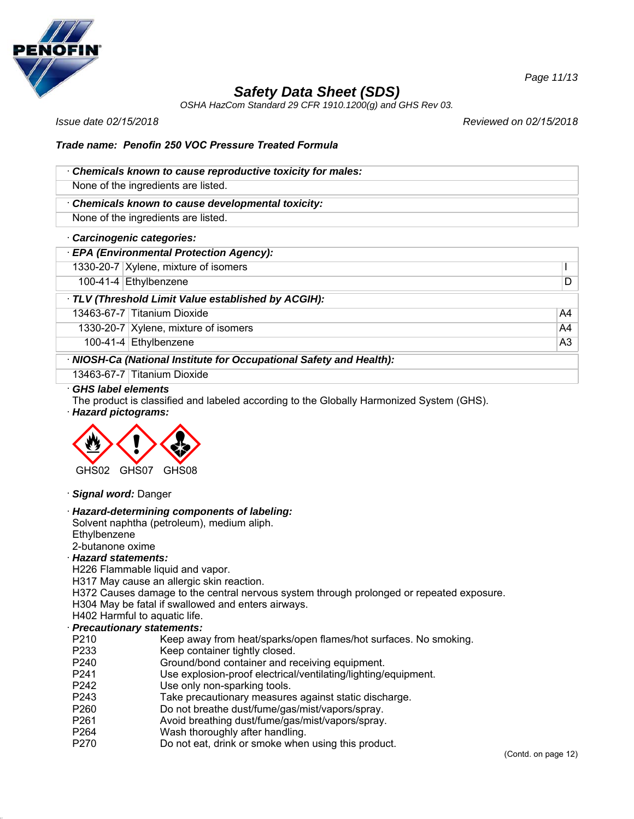

*OSHA HazCom Standard 29 CFR 1910.1200(g) and GHS Rev 03.*

*Issue date 02/15/2018 Reviewed on 02/15/2018*

### *Trade name: Penofin 250 VOC Pressure Treated Formula*

| Chemicals known to cause reproductive toxicity for males: |
|-----------------------------------------------------------|
| None of the ingredients are listed.                       |
| Chemicals known to cause developmental toxicity:          |

None of the ingredients are listed.

#### · *Carcinogenic categories:*

# · *EPA (Environmental Protection Agency):*

1330-20-7 Xylene, mixture of isomers I

100-41-4 Ethylbenzene D

### · *TLV (Threshold Limit Value established by ACGIH):*

13463-67-7 Titanium Dioxide A4

1330-20-7 Xylene, mixture of isomers A4

100-41-4 Ethylbenzene A3

### · *NIOSH-Ca (National Institute for Occupational Safety and Health):*

13463-67-7 Titanium Dioxide

### · *GHS label elements*

The product is classified and labeled according to the Globally Harmonized System (GHS).

· *Hazard pictograms:*



#### · *Signal word:* Danger

### · *Hazard-determining components of labeling:*

Solvent naphtha (petroleum), medium aliph. **Ethylbenzene** 

# 2-butanone oxime

## · *Hazard statements:*

H226 Flammable liquid and vapor.

H317 May cause an allergic skin reaction.

H372 Causes damage to the central nervous system through prolonged or repeated exposure.

H304 May be fatal if swallowed and enters airways.

# H402 Harmful to aquatic life.

# · *Precautionary statements:*

- P210 Keep away from heat/sparks/open flames/hot surfaces. No smoking.
- P233 Keep container tightly closed.
- P240 Ground/bond container and receiving equipment.
- P241 Use explosion-proof electrical/ventilating/lighting/equipment.
- P242 Use only non-sparking tools.
- P243 Take precautionary measures against static discharge.
- P260 Do not breathe dust/fume/gas/mist/vapors/spray.
- P261 Avoid breathing dust/fume/gas/mist/vapors/spray.
- P264 Wash thoroughly after handling.
- P270 Do not eat, drink or smoke when using this product.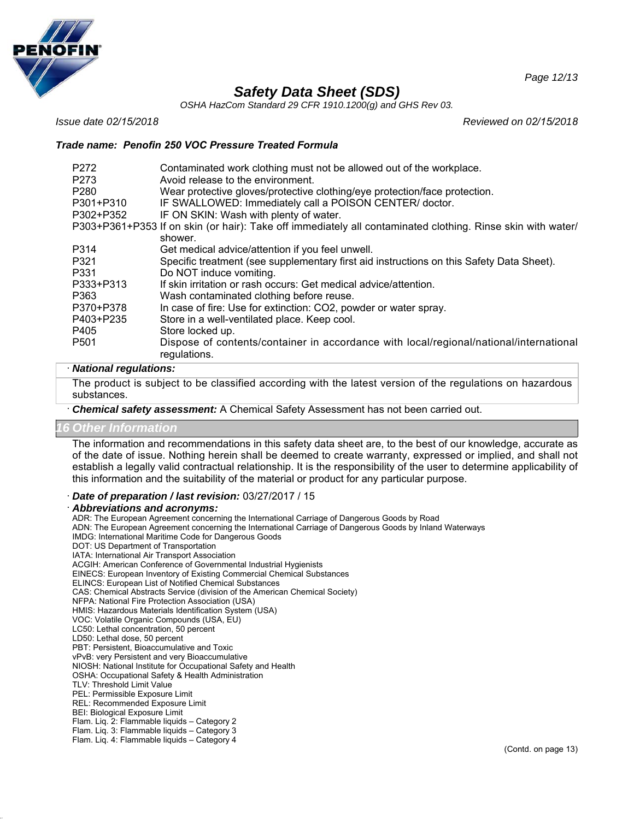

*OSHA HazCom Standard 29 CFR 1910.1200(g) and GHS Rev 03.*

*Issue date 02/15/2018 Reviewed on 02/15/2018*

*Page 12/13*

### *Trade name: Penofin 250 VOC Pressure Treated Formula*

| P <sub>272</sub><br>P273 | Contaminated work clothing must not be allowed out of the workplace.<br>Avoid release to the environment.   |
|--------------------------|-------------------------------------------------------------------------------------------------------------|
| P <sub>280</sub>         | Wear protective gloves/protective clothing/eye protection/face protection.                                  |
| P301+P310                | IF SWALLOWED: Immediately call a POISON CENTER/ doctor.                                                     |
| P302+P352                | IF ON SKIN: Wash with plenty of water.                                                                      |
|                          | P303+P361+P353 If on skin (or hair): Take off immediately all contaminated clothing. Rinse skin with water/ |
|                          | shower.                                                                                                     |
| P314                     | Get medical advice/attention if you feel unwell.                                                            |
| P321                     | Specific treatment (see supplementary first aid instructions on this Safety Data Sheet).                    |
| P331                     | Do NOT induce vomiting.                                                                                     |
| P333+P313                | If skin irritation or rash occurs: Get medical advice/attention.                                            |
| P363                     | Wash contaminated clothing before reuse.                                                                    |
| P370+P378                | In case of fire: Use for extinction: CO2, powder or water spray.                                            |
| P403+P235                | Store in a well-ventilated place. Keep cool.                                                                |
| P405                     | Store locked up.                                                                                            |
| P <sub>501</sub>         | Dispose of contents/container in accordance with local/regional/national/international<br>regulations.      |

#### · *National regulations:*

The product is subject to be classified according with the latest version of the regulations on hazardous substances.

· *Chemical safety assessment:* A Chemical Safety Assessment has not been carried out.

### *16 Other Information*

The information and recommendations in this safety data sheet are, to the best of our knowledge, accurate as of the date of issue. Nothing herein shall be deemed to create warranty, expressed or implied, and shall not establish a legally valid contractual relationship. It is the responsibility of the user to determine applicability of this information and the suitability of the material or product for any particular purpose.

· *Date of preparation / last revision:* 03/27/2017 / 15

#### · *Abbreviations and acronyms:*

ADR: The European Agreement concerning the International Carriage of Dangerous Goods by Road ADN: The European Agreement concerning the International Carriage of Dangerous Goods by Inland Waterways IMDG: International Maritime Code for Dangerous Goods DOT: US Department of Transportation IATA: International Air Transport Association ACGIH: American Conference of Governmental Industrial Hygienists EINECS: European Inventory of Existing Commercial Chemical Substances ELINCS: European List of Notified Chemical Substances CAS: Chemical Abstracts Service (division of the American Chemical Society) NFPA: National Fire Protection Association (USA) HMIS: Hazardous Materials Identification System (USA) VOC: Volatile Organic Compounds (USA, EU) LC50: Lethal concentration, 50 percent LD50: Lethal dose, 50 percent PBT: Persistent, Bioaccumulative and Toxic vPvB: very Persistent and very Bioaccumulative NIOSH: National Institute for Occupational Safety and Health OSHA: Occupational Safety & Health Administration TLV: Threshold Limit Value PEL: Permissible Exposure Limit REL: Recommended Exposure Limit BEI: Biological Exposure Limit Flam. Liq. 2: Flammable liquids – Category 2 Flam. Liq. 3: Flammable liquids – Category 3 Flam. Liq. 4: Flammable liquids – Category 4